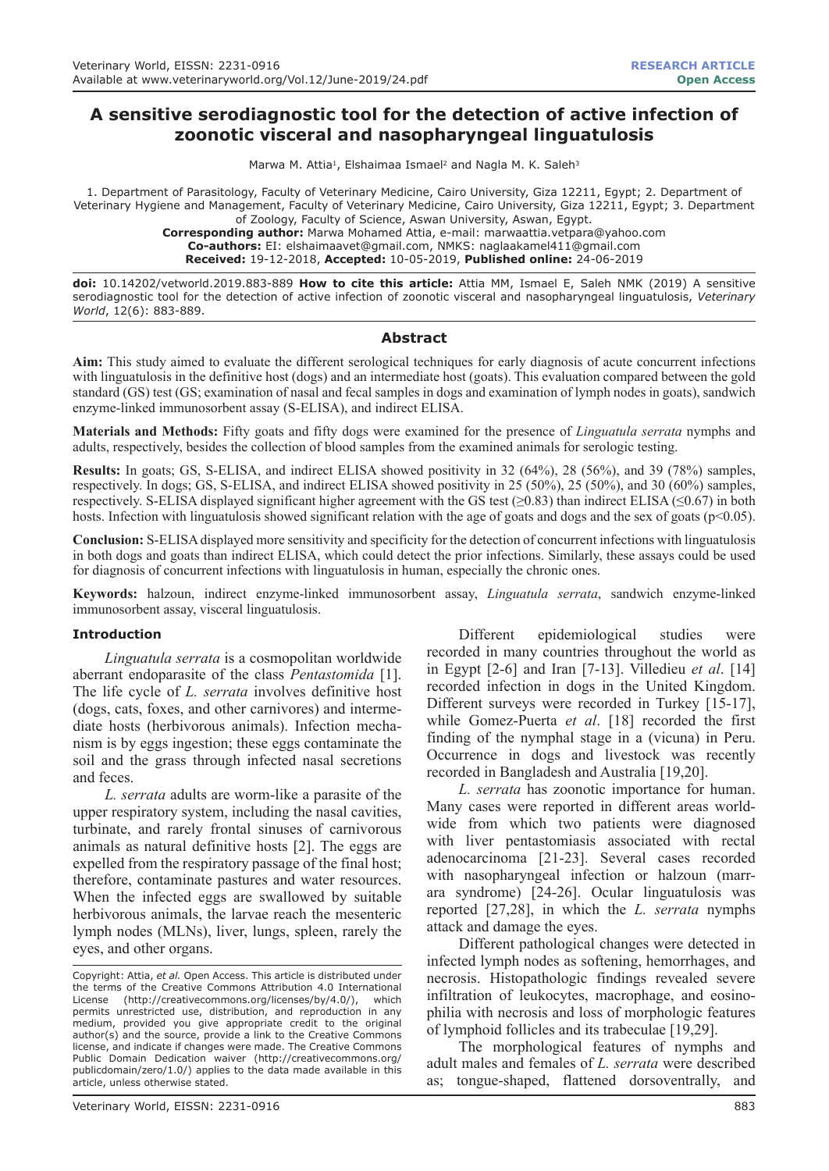# **A sensitive serodiagnostic tool for the detection of active infection of zoonotic visceral and nasopharyngeal linguatulosis**

Marwa M. Attia<sup>1</sup>, Elshaimaa Ismael<sup>2</sup> and Nagla M. K. Saleh<sup>3</sup>

1. Department of Parasitology, Faculty of Veterinary Medicine, Cairo University, Giza 12211, Egypt; 2. Department of Veterinary Hygiene and Management, Faculty of Veterinary Medicine, Cairo University, Giza 12211, Egypt; 3. Department of Zoology, Faculty of Science, Aswan University, Aswan, Egypt. **Corresponding author:** Marwa Mohamed Attia, e-mail: marwaattia.vetpara@yahoo.com **Co-authors:** EI: elshaimaavet@gmail.com, NMKS: naglaakamel411@gmail.com

**Received:** 19-12-2018, **Accepted:** 10-05-2019, **Published online:** 24-06-2019

**doi:** 10.14202/vetworld.2019.883-889 **How to cite this article:** Attia MM, Ismael E, Saleh NMK (2019) A sensitive serodiagnostic tool for the detection of active infection of zoonotic visceral and nasopharyngeal linguatulosis, *Veterinary World*, 12(6): 883-889.

### **Abstract**

**Aim:** This study aimed to evaluate the different serological techniques for early diagnosis of acute concurrent infections with linguatulosis in the definitive host (dogs) and an intermediate host (goats). This evaluation compared between the gold standard (GS) test (GS; examination of nasal and fecal samples in dogs and examination of lymph nodes in goats), sandwich enzyme-linked immunosorbent assay (S-ELISA), and indirect ELISA.

**Materials and Methods:** Fifty goats and fifty dogs were examined for the presence of *Linguatula serrata* nymphs and adults, respectively, besides the collection of blood samples from the examined animals for serologic testing.

**Results:** In goats; GS, S-ELISA, and indirect ELISA showed positivity in 32 (64%), 28 (56%), and 39 (78%) samples, respectively. In dogs; GS, S-ELISA, and indirect ELISA showed positivity in 25 (50%), 25 (50%), and 30 (60%) samples, respectively. S-ELISA displayed significant higher agreement with the GS test ( $\geq$ 0.83) than indirect ELISA ( $\leq$ 0.67) in both hosts. Infection with linguatulosis showed significant relation with the age of goats and dogs and the sex of goats ( $p<0.05$ ).

**Conclusion:** S-ELISA displayed more sensitivity and specificity for the detection of concurrent infections with linguatulosis in both dogs and goats than indirect ELISA, which could detect the prior infections. Similarly, these assays could be used for diagnosis of concurrent infections with linguatulosis in human, especially the chronic ones.

**Keywords:** halzoun, indirect enzyme-linked immunosorbent assay, *Linguatula serrata*, sandwich enzyme-linked immunosorbent assay, visceral linguatulosis.

### **Introduction**

*Linguatula serrata* is a cosmopolitan worldwide aberrant endoparasite of the class *Pentastomida* [1]. The life cycle of *L. serrata* involves definitive host (dogs, cats, foxes, and other carnivores) and intermediate hosts (herbivorous animals). Infection mechanism is by eggs ingestion; these eggs contaminate the soil and the grass through infected nasal secretions and feces.

*L. serrata* adults are worm-like a parasite of the upper respiratory system, including the nasal cavities, turbinate, and rarely frontal sinuses of carnivorous animals as natural definitive hosts [2]. The eggs are expelled from the respiratory passage of the final host; therefore, contaminate pastures and water resources. When the infected eggs are swallowed by suitable herbivorous animals, the larvae reach the mesenteric lymph nodes (MLNs), liver, lungs, spleen, rarely the eyes, and other organs.

Copyright: Attia, *et al.* Open Access. This article is distributed under the terms of the Creative Commons Attribution 4.0 International<br>License (http://creativecommons.org/licenses/by/4.0/), which License (http://creativecommons.org/licenses/by/4.0/), permits unrestricted use, distribution, and reproduction in any medium, provided you give appropriate credit to the original author(s) and the source, provide a link to the Creative Commons license, and indicate if changes were made. The Creative Commons Public Domain Dedication waiver (http://creativecommons.org/ publicdomain/zero/1.0/) applies to the data made available in this article, unless otherwise stated.

Different epidemiological studies were recorded in many countries throughout the world as in Egypt [2-6] and Iran [7-13]. Villedieu *et al*. [14] recorded infection in dogs in the United Kingdom. Different surveys were recorded in Turkey [15-17], while Gomez-Puerta *et al*. [18] recorded the first finding of the nymphal stage in a (vicuna) in Peru. Occurrence in dogs and livestock was recently recorded in Bangladesh and Australia [19,20].

*L. serrata* has zoonotic importance for human. Many cases were reported in different areas worldwide from which two patients were diagnosed with liver pentastomiasis associated with rectal adenocarcinoma [21-23]. Several cases recorded with nasopharyngeal infection or halzoun (marrara syndrome) [24-26]. Ocular linguatulosis was reported [27,28], in which the *L. serrata* nymphs attack and damage the eyes.

Different pathological changes were detected in infected lymph nodes as softening, hemorrhages, and necrosis. Histopathologic findings revealed severe infiltration of leukocytes, macrophage, and eosinophilia with necrosis and loss of morphologic features of lymphoid follicles and its trabeculae [19,29].

The morphological features of nymphs and adult males and females of *L. serrata* were described as; tongue-shaped, flattened dorsoventrally, and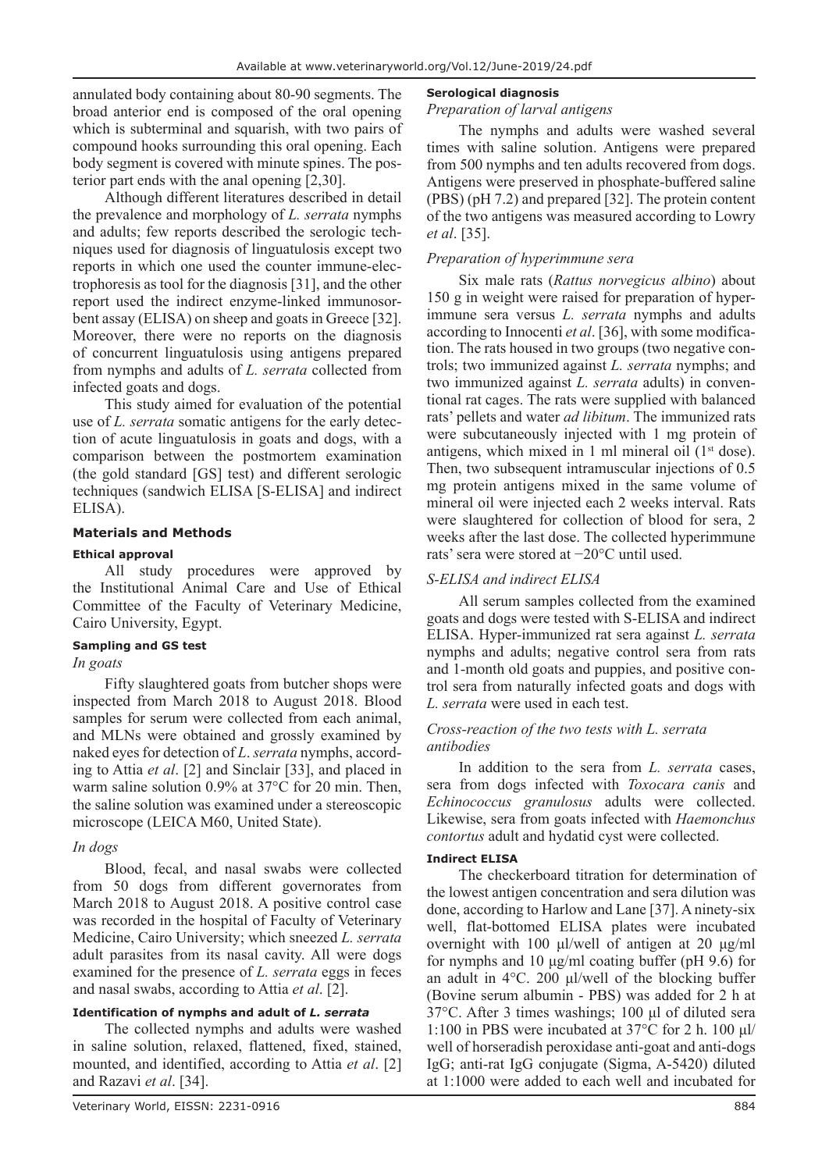annulated body containing about 80-90 segments. The broad anterior end is composed of the oral opening which is subterminal and squarish, with two pairs of compound hooks surrounding this oral opening. Each body segment is covered with minute spines. The posterior part ends with the anal opening [2,30].

Although different literatures described in detail the prevalence and morphology of *L. serrata* nymphs and adults; few reports described the serologic techniques used for diagnosis of linguatulosis except two reports in which one used the counter immune-electrophoresis as tool for the diagnosis [31], and the other report used the indirect enzyme-linked immunosorbent assay (ELISA) on sheep and goats in Greece [32]. Moreover, there were no reports on the diagnosis of concurrent linguatulosis using antigens prepared from nymphs and adults of *L. serrata* collected from infected goats and dogs.

This study aimed for evaluation of the potential use of *L. serrata* somatic antigens for the early detection of acute linguatulosis in goats and dogs, with a comparison between the postmortem examination (the gold standard [GS] test) and different serologic techniques (sandwich ELISA [S-ELISA] and indirect ELISA).

### **Materials and Methods**

## **Ethical approval**

All study procedures were approved by the Institutional Animal Care and Use of Ethical Committee of the Faculty of Veterinary Medicine, Cairo University, Egypt.

### **Sampling and GS test**

### *In goats*

Fifty slaughtered goats from butcher shops were inspected from March 2018 to August 2018. Blood samples for serum were collected from each animal, and MLNs were obtained and grossly examined by naked eyes for detection of *L*. *serrata* nymphs, according to Attia *et al*. [2] and Sinclair [33], and placed in warm saline solution 0.9% at 37°C for 20 min. Then, the saline solution was examined under a stereoscopic microscope (LEICA M60, United State).

## *In dogs*

Blood, fecal, and nasal swabs were collected from 50 dogs from different governorates from March 2018 to August 2018. A positive control case was recorded in the hospital of Faculty of Veterinary Medicine, Cairo University; which sneezed *L. serrata* adult parasites from its nasal cavity. All were dogs examined for the presence of *L. serrata* eggs in feces and nasal swabs, according to Attia *et al*. [2].

## **Identification of nymphs and adult of** *L. serrata*

The collected nymphs and adults were washed in saline solution, relaxed, flattened, fixed, stained, mounted, and identified, according to Attia *et al*. [2] and Razavi *et al*. [34].

### **Serological diagnosis**

### *Preparation of larval antigens*

The nymphs and adults were washed several times with saline solution. Antigens were prepared from 500 nymphs and ten adults recovered from dogs. Antigens were preserved in phosphate-buffered saline (PBS) (pH 7.2) and prepared [32]. The protein content of the two antigens was measured according to Lowry *et al*. [35].

## *Preparation of hyperimmune sera*

Six male rats (*Rattus norvegicus albino*) about 150 g in weight were raised for preparation of hyperimmune sera versus *L. serrata* nymphs and adults according to Innocenti *et al*. [36], with some modification. The rats housed in two groups (two negative controls; two immunized against *L. serrata* nymphs; and two immunized against *L. serrata* adults) in conventional rat cages. The rats were supplied with balanced rats' pellets and water *ad libitum*. The immunized rats were subcutaneously injected with 1 mg protein of antigens, which mixed in 1 ml mineral oil  $(1<sup>st</sup> dose)$ . Then, two subsequent intramuscular injections of 0.5 mg protein antigens mixed in the same volume of mineral oil were injected each 2 weeks interval. Rats were slaughtered for collection of blood for sera, 2 weeks after the last dose. The collected hyperimmune rats' sera were stored at −20°C until used.

# *S-ELISA and indirect ELISA*

All serum samples collected from the examined goats and dogs were tested with S-ELISA and indirect ELISA. Hyper-immunized rat sera against *L. serrata* nymphs and adults; negative control sera from rats and 1-month old goats and puppies, and positive control sera from naturally infected goats and dogs with *L. serrata* were used in each test.

### *Cross-reaction of the two tests with L. serrata antibodies*

In addition to the sera from *L. serrata* cases, sera from dogs infected with *Toxocara canis* and *Echinococcus granulosus* adults were collected. Likewise, sera from goats infected with *Haemonchus contortus* adult and hydatid cyst were collected.

### **Indirect ELISA**

The checkerboard titration for determination of the lowest antigen concentration and sera dilution was done, according to Harlow and Lane [37]. A ninety-six well, flat-bottomed ELISA plates were incubated overnight with 100 μl/well of antigen at 20 μg/ml for nymphs and 10 μg/ml coating buffer (pH 9.6) for an adult in 4°C. 200 μl/well of the blocking buffer (Bovine serum albumin - PBS) was added for 2 h at 37°C. After 3 times washings; 100 μl of diluted sera 1:100 in PBS were incubated at 37°C for 2 h. 100 μl/ well of horseradish peroxidase anti-goat and anti-dogs IgG; anti-rat IgG conjugate (Sigma, A-5420) diluted at 1:1000 were added to each well and incubated for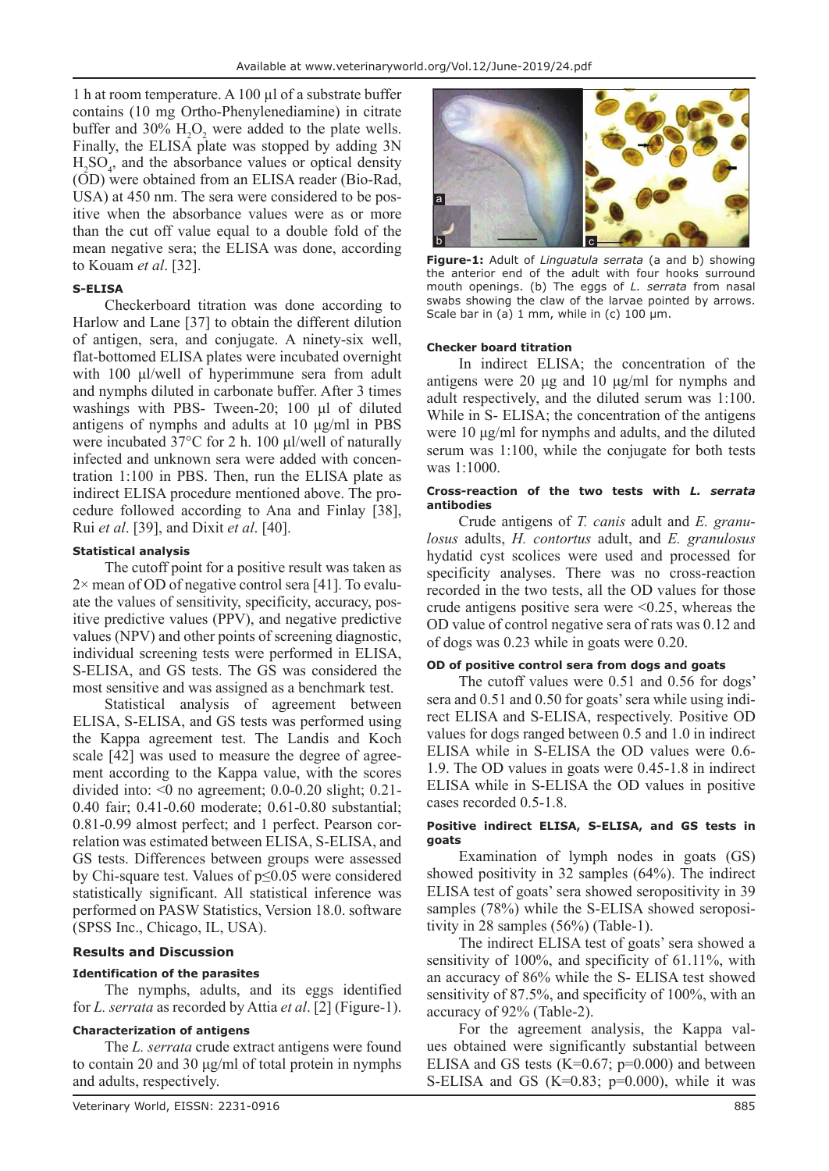1 h at room temperature. A 100 µl of a substrate buffer contains (10 mg Ortho-Phenylenediamine) in citrate buffer and  $30\%$  H<sub>2</sub>O<sub>2</sub> were added to the plate wells. Finally, the ELISA plate was stopped by adding 3N  $H_2SO_4$ , and the absorbance values or optical density (OD) were obtained from an ELISA reader (Bio-Rad, USA) at 450 nm. The sera were considered to be positive when the absorbance values were as or more than the cut off value equal to a double fold of the mean negative sera; the ELISA was done, according to Kouam *et al*. [32].

### **S-ELISA**

Checkerboard titration was done according to Harlow and Lane [37] to obtain the different dilution of antigen, sera, and conjugate. A ninety-six well, flat-bottomed ELISA plates were incubated overnight with 100 μl/well of hyperimmune sera from adult and nymphs diluted in carbonate buffer. After 3 times washings with PBS- Tween-20; 100 μl of diluted antigens of nymphs and adults at 10 μg/ml in PBS were incubated 37°C for 2 h. 100 μl/well of naturally infected and unknown sera were added with concentration 1:100 in PBS. Then, run the ELISA plate as indirect ELISA procedure mentioned above. The procedure followed according to Ana and Finlay [38], Rui *et al*. [39], and Dixit *et al*. [40].

### **Statistical analysis**

The cutoff point for a positive result was taken as  $2\times$  mean of OD of negative control sera [41]. To evaluate the values of sensitivity, specificity, accuracy, positive predictive values (PPV), and negative predictive values (NPV) and other points of screening diagnostic, individual screening tests were performed in ELISA, S-ELISA, and GS tests. The GS was considered the most sensitive and was assigned as a benchmark test.

Statistical analysis of agreement between ELISA, S-ELISA, and GS tests was performed using the Kappa agreement test. The Landis and Koch scale [42] was used to measure the degree of agreement according to the Kappa value, with the scores divided into: <0 no agreement; 0.0-0.20 slight; 0.21- 0.40 fair; 0.41-0.60 moderate; 0.61-0.80 substantial; 0.81-0.99 almost perfect; and 1 perfect. Pearson correlation was estimated between ELISA, S-ELISA, and GS tests. Differences between groups were assessed by Chi-square test. Values of p≤0.05 were considered statistically significant. All statistical inference was performed on PASW Statistics, Version 18.0. software (SPSS Inc., Chicago, IL, USA).

### **Results and Discussion**

### **Identification of the parasites**

The nymphs, adults, and its eggs identified for *L. serrata* as recorded by Attia *et al*. [2] (Figure-1).

### **Characterization of antigens**

The *L. serrata* crude extract antigens were found to contain 20 and 30 μg/ml of total protein in nymphs and adults, respectively.



**Figure-1:** Adult of *Linguatula serrata* (a and b) showing the anterior end of the adult with four hooks surround mouth openings. (b) The eggs of *L. serrata* from nasal swabs showing the claw of the larvae pointed by arrows. Scale bar in (a)  $1 \text{ mm}$ , while in (c)  $100 \text{ µm}$ .

#### **Checker board titration**

In indirect ELISA; the concentration of the antigens were 20 μg and 10 μg/ml for nymphs and adult respectively, and the diluted serum was 1:100. While in S- ELISA; the concentration of the antigens were 10 μg/ml for nymphs and adults, and the diluted serum was 1:100, while the conjugate for both tests was 1:1000.

#### **Cross-reaction of the two tests with** *L. serrata*  **antibodies**

Crude antigens of *T. canis* adult and *E. granulosus* adults, *H. contortus* adult, and *E. granulosus* hydatid cyst scolices were used and processed for specificity analyses. There was no cross-reaction recorded in the two tests, all the OD values for those crude antigens positive sera were  $\leq 0.25$ , whereas the OD value of control negative sera of rats was 0.12 and of dogs was 0.23 while in goats were 0.20.

#### **OD of positive control sera from dogs and goats**

The cutoff values were 0.51 and 0.56 for dogs' sera and 0.51 and 0.50 for goats' sera while using indirect ELISA and S-ELISA, respectively. Positive OD values for dogs ranged between 0.5 and 1.0 in indirect ELISA while in S-ELISA the OD values were 0.6- 1.9. The OD values in goats were 0.45-1.8 in indirect ELISA while in S-ELISA the OD values in positive cases recorded 0.5-1.8.

#### **Positive indirect ELISA, S-ELISA, and GS tests in goats**

Examination of lymph nodes in goats (GS) showed positivity in 32 samples (64%). The indirect ELISA test of goats' sera showed seropositivity in 39 samples (78%) while the S-ELISA showed seropositivity in 28 samples (56%) (Table-1).

The indirect ELISA test of goats' sera showed a sensitivity of 100%, and specificity of 61.11%, with an accuracy of 86% while the S- ELISA test showed sensitivity of 87.5%, and specificity of 100%, with an accuracy of 92% (Table-2).

For the agreement analysis, the Kappa values obtained were significantly substantial between ELISA and GS tests ( $K=0.67$ ;  $p=0.000$ ) and between S-ELISA and GS  $(K=0.83; p=0.000)$ , while it was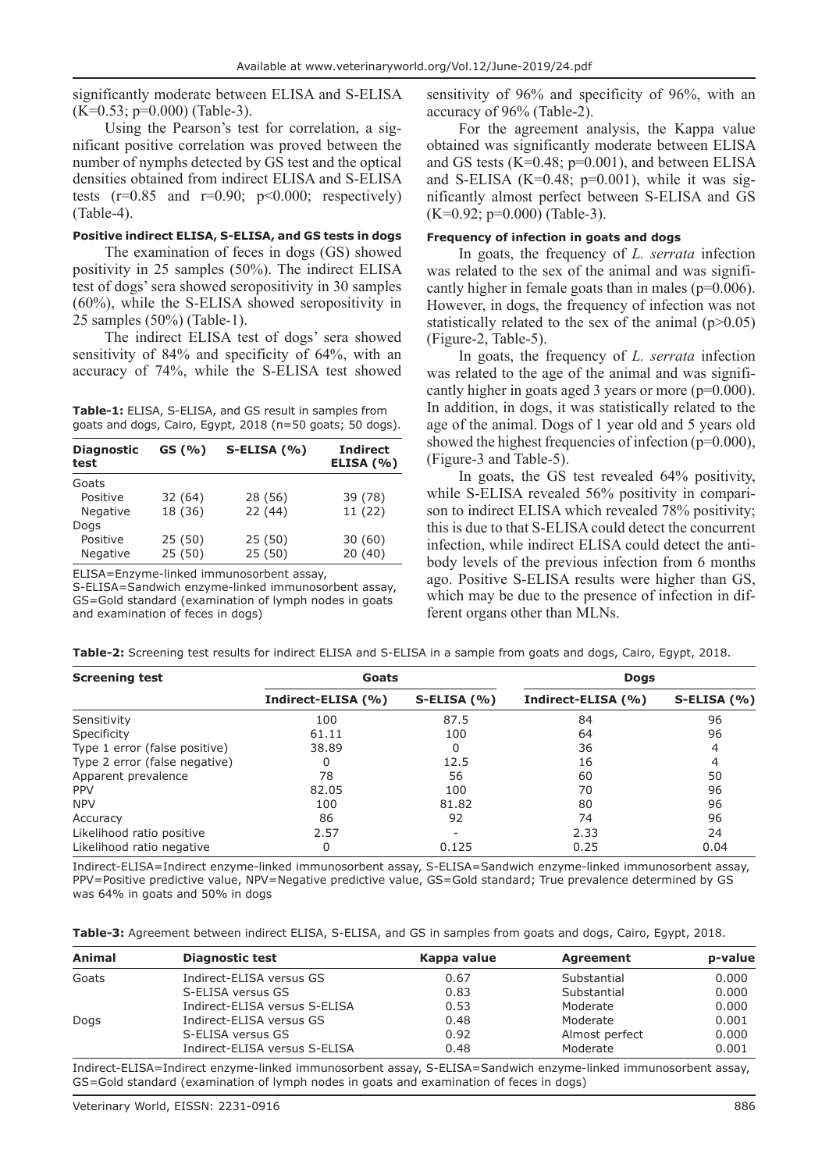significantly moderate between ELISA and S-ELISA  $(K=0.53; p=0.000)$  (Table-3).

Using the Pearson's test for correlation, a significant positive correlation was proved between the number of nymphs detected by GS test and the optical densities obtained from indirect ELISA and S-ELISA tests  $(r=0.85$  and  $r=0.90$ ;  $p<0.000$ ; respectively) (Table-4).

# **Positive indirect ELISA, S-ELISA, and GS tests in dogs**

The examination of feces in dogs (GS) showed positivity in 25 samples (50%). The indirect ELISA test of dogs' sera showed seropositivity in 30 samples (60%), while the S-ELISA showed seropositivity in 25 samples (50%) (Table-1).

The indirect ELISA test of dogs' sera showed sensitivity of 84% and specificity of 64%, with an accuracy of 74%, while the S-ELISA test showed

**Table-1:** ELISA, S-ELISA, and GS result in samples from goats and dogs, Cairo, Egypt, 2018 (n=50 goats; 50 dogs).

| <b>Diagnostic</b><br>test | GS(%)   | $S$ -ELISA $(% )$ | <b>Indirect</b><br><b>ELISA (%)</b> |
|---------------------------|---------|-------------------|-------------------------------------|
| Goats                     |         |                   |                                     |
| Positive                  | 32 (64) | 28 (56)           | 39 (78)                             |
| <b>Negative</b>           | 18 (36) | 22(44)            | 11 (22)                             |
| Dogs                      |         |                   |                                     |
| Positive                  | 25(50)  | 25(50)            | 30(60)                              |
| <b>Negative</b>           | 25(50)  | 25(50)            | 20(40)                              |

ELISA=Enzyme-linked immunosorbent assay,

S-ELISA=Sandwich enzyme-linked immunosorbent assay, GS=Gold standard (examination of lymph nodes in goats and examination of feces in dogs)

sensitivity of 96% and specificity of 96%, with an accuracy of 96% (Table-2).

For the agreement analysis, the Kappa value obtained was significantly moderate between ELISA and GS tests (K=0.48; p=0.001), and between ELISA and S-ELISA (K=0.48;  $p=0.001$ ), while it was significantly almost perfect between S-ELISA and GS  $(K=0.92; p=0.000)$  (Table-3).

### **Frequency of infection in goats and dogs**

In goats, the frequency of *L. serrata* infection was related to the sex of the animal and was significantly higher in female goats than in males (p=0.006). However, in dogs, the frequency of infection was not statistically related to the sex of the animal  $(p>0.05)$ (Figure-2, Table-5).

In goats, the frequency of *L. serrata* infection was related to the age of the animal and was significantly higher in goats aged 3 years or more (p=0.000). In addition, in dogs, it was statistically related to the age of the animal. Dogs of 1 year old and 5 years old showed the highest frequencies of infection ( $p=0.000$ ), (Figure-3 and Table-5).

In goats, the GS test revealed 64% positivity, while S-ELISA revealed 56% positivity in comparison to indirect ELISA which revealed 78% positivity; this is due to that S-ELISA could detect the concurrent infection, while indirect ELISA could detect the antibody levels of the previous infection from 6 months ago. Positive S-ELISA results were higher than GS, which may be due to the presence of infection in different organs other than MLNs.

| <b>Screening test</b>         | Goats              |                    | <b>Dogs</b>        |                   |
|-------------------------------|--------------------|--------------------|--------------------|-------------------|
|                               | Indirect-ELISA (%) | $S$ -ELISA $(\% )$ | Indirect-ELISA (%) | $S$ -ELISA $(% )$ |
| Sensitivity                   | 100                | 87.5               | 84                 | 96                |
| Specificity                   | 61.11              | 100                | 64                 | 96                |
| Type 1 error (false positive) | 38.89              |                    | 36                 | 4                 |
| Type 2 error (false negative) | O                  | 12.5               | 16                 | 4                 |
| Apparent prevalence           | 78                 | 56                 | 60                 | 50                |
| <b>PPV</b>                    | 82.05              | 100                | 70                 | 96                |
| <b>NPV</b>                    | 100                | 81.82              | 80                 | 96                |
| Accuracy                      | 86                 | 92                 | 74                 | 96                |
| Likelihood ratio positive     | 2.57               |                    | 2.33               | 24                |
| Likelihood ratio negative     | 0                  | 0.125              | 0.25               | 0.04              |

**Table-2:** Screening test results for indirect ELISA and S-ELISA in a sample from goats and dogs, Cairo, Egypt, 2018.

Indirect-ELISA=Indirect enzyme-linked immunosorbent assay, S-ELISA=Sandwich enzyme-linked immunosorbent assay, PPV=Positive predictive value, NPV=Negative predictive value, GS=Gold standard; True prevalence determined by GS was 64% in goats and 50% in dogs

| Table-3: Agreement between indirect ELISA, S-ELISA, and GS in samples from goats and dogs, Cairo, Egypt, 2018. |  |  |
|----------------------------------------------------------------------------------------------------------------|--|--|
|----------------------------------------------------------------------------------------------------------------|--|--|

| Animal | <b>Diagnostic test</b>        | Kappa value | Agreement      | p-value |
|--------|-------------------------------|-------------|----------------|---------|
| Goats  | Indirect-ELISA versus GS      | 0.67        | Substantial    | 0.000   |
|        | S-ELISA versus GS             | 0.83        | Substantial    | 0.000   |
|        | Indirect-ELISA versus S-ELISA | 0.53        | Moderate       | 0.000   |
| Dogs   | Indirect-ELISA versus GS      | 0.48        | Moderate       | 0.001   |
|        | S-ELISA versus GS             | 0.92        | Almost perfect | 0.000   |
|        | Indirect-ELISA versus S-ELISA | 0.48        | Moderate       | 0.001   |

Indirect-ELISA=Indirect enzyme-linked immunosorbent assay, S-ELISA=Sandwich enzyme-linked immunosorbent assay, GS=Gold standard (examination of lymph nodes in goats and examination of feces in dogs)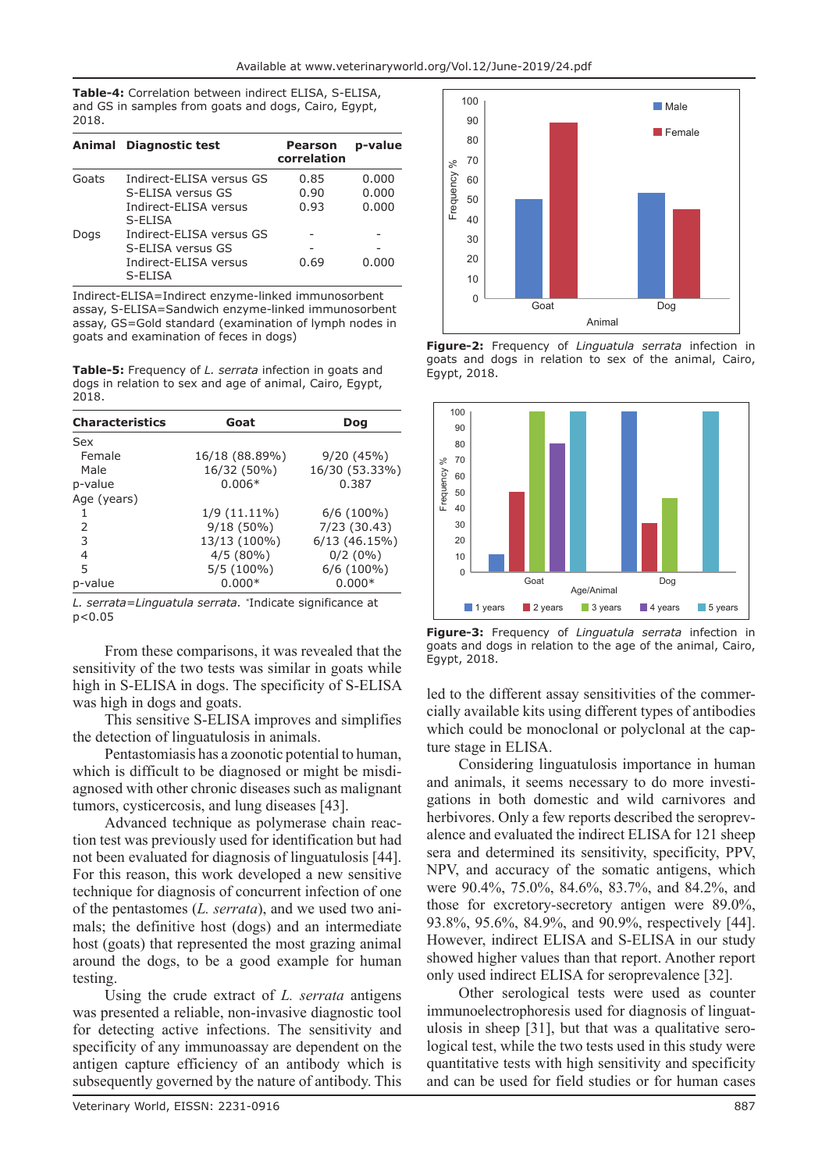**Table-4:** Correlation between indirect ELISA, S-ELISA, and GS in samples from goats and dogs, Cairo, Egypt, 2018.

|       | Animal Diagnostic test           | <b>Pearson</b><br>correlation | p-value |
|-------|----------------------------------|-------------------------------|---------|
| Goats | Indirect-ELISA versus GS         | 0.85                          | 0.000   |
|       | S-ELISA versus GS                | 0.90                          | 0.000   |
|       | Indirect-ELISA versus<br>S-ELISA | 0.93                          | 0.000   |
| Dogs  | Indirect-ELISA versus GS         |                               |         |
|       | S-ELISA versus GS                |                               |         |
|       | Indirect-ELISA versus<br>S-ELISA | 0.69                          | 0.000   |

Indirect-ELISA=Indirect enzyme-linked immunosorbent assay, S-ELISA=Sandwich enzyme-linked immunosorbent assay, GS=Gold standard (examination of lymph nodes in goats and examination of feces in dogs)

**Table-5:** Frequency of *L. serrata* infection in goats and dogs in relation to sex and age of animal, Cairo, Egypt, 2018.

| <b>Characteristics</b> | Goat           | Dog            |  |
|------------------------|----------------|----------------|--|
| Sex                    |                |                |  |
| Female                 | 16/18 (88.89%) | 9/20(45%)      |  |
| Male                   | 16/32 (50%)    | 16/30 (53.33%) |  |
| p-value                | $0.006*$       | 0.387          |  |
| Age (years)            |                |                |  |
|                        | $1/9(11.11\%)$ | $6/6$ (100%)   |  |
| 2                      | $9/18(50\%)$   | 7/23 (30.43)   |  |
| 3                      | 13/13 (100%)   | 6/13(46.15%)   |  |
| 4                      | $4/5(80\%)$    | $0/2(0\%)$     |  |
| 5                      | $5/5(100\%)$   | 6/6 (100%)     |  |
| p-value                | $0.000*$       | $0.000*$       |  |

*L. serrata*=*Linguatula serrata. \**Indicate significance at p*<*0.05

From these comparisons, it was revealed that the sensitivity of the two tests was similar in goats while high in S-ELISA in dogs. The specificity of S-ELISA was high in dogs and goats.

This sensitive S-ELISA improves and simplifies the detection of linguatulosis in animals.

Pentastomiasis has a zoonotic potential to human, which is difficult to be diagnosed or might be misdiagnosed with other chronic diseases such as malignant tumors, cysticercosis, and lung diseases [43].

Advanced technique as polymerase chain reaction test was previously used for identification but had not been evaluated for diagnosis of linguatulosis [44]. For this reason, this work developed a new sensitive technique for diagnosis of concurrent infection of one of the pentastomes (*L. serrata*), and we used two animals; the definitive host (dogs) and an intermediate host (goats) that represented the most grazing animal around the dogs, to be a good example for human testing.

Using the crude extract of *L. serrata* antigens was presented a reliable, non-invasive diagnostic tool for detecting active infections. The sensitivity and specificity of any immunoassay are dependent on the antigen capture efficiency of an antibody which is subsequently governed by the nature of antibody. This



**Figure-2:** Frequency of *Linguatula serrata* infection in goats and dogs in relation to sex of the animal, Cairo, Egypt, 2018.



**Figure-3:** Frequency of *Linguatula serrata* infection in goats and dogs in relation to the age of the animal, Cairo, Egypt, 2018.

led to the different assay sensitivities of the commercially available kits using different types of antibodies which could be monoclonal or polyclonal at the capture stage in ELISA.

Considering linguatulosis importance in human and animals, it seems necessary to do more investigations in both domestic and wild carnivores and herbivores. Only a few reports described the seroprevalence and evaluated the indirect ELISA for 121 sheep sera and determined its sensitivity, specificity, PPV, NPV, and accuracy of the somatic antigens, which were 90.4%, 75.0%, 84.6%, 83.7%, and 84.2%, and those for excretory-secretory antigen were 89.0%, 93.8%, 95.6%, 84.9%, and 90.9%, respectively [44]. However, indirect ELISA and S-ELISA in our study showed higher values than that report. Another report only used indirect ELISA for seroprevalence [32].

Other serological tests were used as counter immunoelectrophoresis used for diagnosis of linguatulosis in sheep [31], but that was a qualitative serological test, while the two tests used in this study were quantitative tests with high sensitivity and specificity and can be used for field studies or for human cases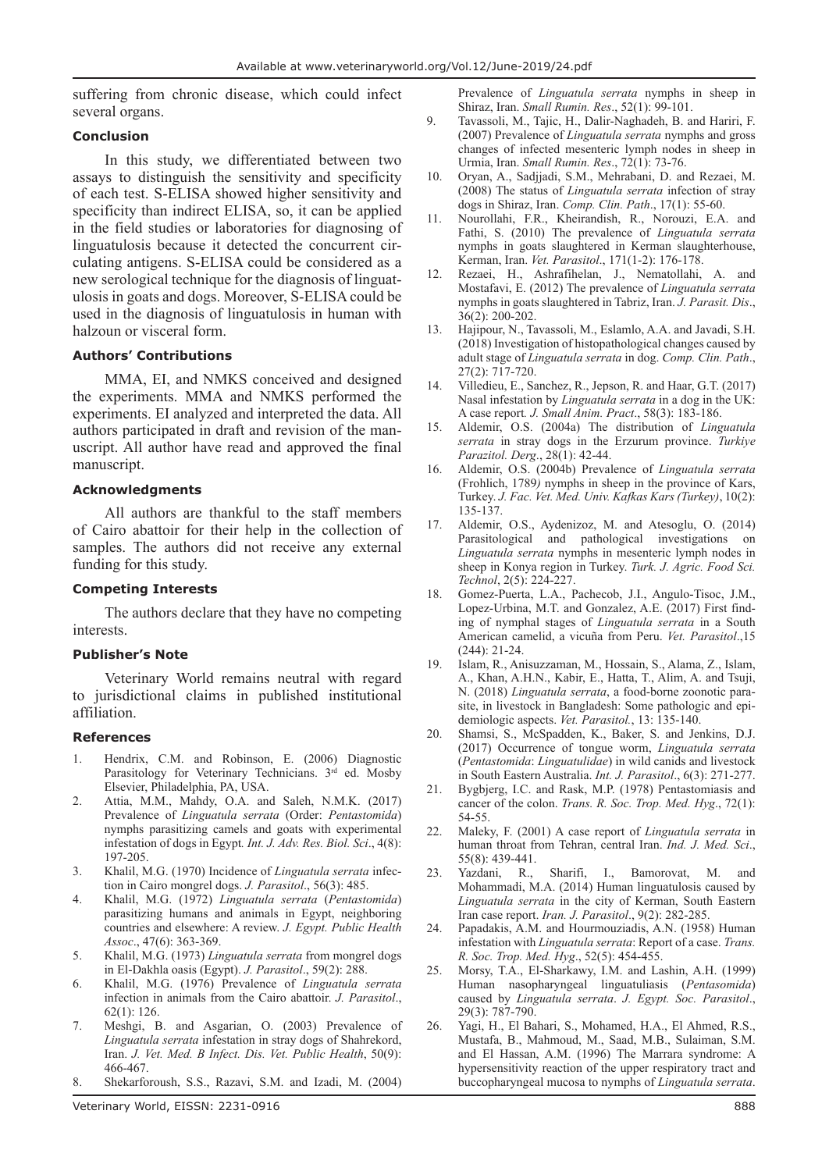suffering from chronic disease, which could infect several organs.

#### **Conclusion**

In this study, we differentiated between two assays to distinguish the sensitivity and specificity of each test. S-ELISA showed higher sensitivity and specificity than indirect ELISA, so, it can be applied in the field studies or laboratories for diagnosing of linguatulosis because it detected the concurrent circulating antigens. S-ELISA could be considered as a new serological technique for the diagnosis of linguatulosis in goats and dogs. Moreover, S-ELISA could be used in the diagnosis of linguatulosis in human with halzoun or visceral form.

#### **Authors' Contributions**

MMA, EI, and NMKS conceived and designed the experiments. MMA and NMKS performed the experiments. EI analyzed and interpreted the data. All authors participated in draft and revision of the manuscript. All author have read and approved the final manuscript.

### **Acknowledgments**

All authors are thankful to the staff members of Cairo abattoir for their help in the collection of samples. The authors did not receive any external funding for this study.

### **Competing Interests**

The authors declare that they have no competing interests.

#### **Publisher's Note**

Veterinary World remains neutral with regard to jurisdictional claims in published institutional affiliation.

#### **References**

- 1. Hendrix, C.M. and Robinson, E. (2006) Diagnostic Parasitology for Veterinary Technicians. 3<sup>rd</sup> ed. Mosby Elsevier, Philadelphia, PA, USA.
- 2. Attia, M.M., Mahdy, O.A. and Saleh, N.M.K. (2017) Prevalence of *Linguatula serrata* (Order: *Pentastomida*) nymphs parasitizing camels and goats with experimental infestation of dogs in Egypt*. Int. J. Adv. Res. Biol. Sci*., 4(8): 197-205.
- 3. Khalil, M.G. (1970) Incidence of *Linguatula serrata* infection in Cairo mongrel dogs. *J. Parasitol*., 56(3): 485.
- 4. Khalil, M.G. (1972) *Linguatula serrata* (*Pentastomida*) parasitizing humans and animals in Egypt, neighboring countries and elsewhere: A review. *J. Egypt. Public Health Assoc*., 47(6): 363-369.
- 5. Khalil, M.G. (1973) *Linguatula serrata* from mongrel dogs in El-Dakhla oasis (Egypt). *J. Parasitol*., 59(2): 288.
- 6. Khalil, M.G. (1976) Prevalence of *Linguatula serrata*  infection in animals from the Cairo abattoir. *J. Parasitol*., 62(1): 126.
- 7. Meshgi, B. and Asgarian, O. (2003) Prevalence of *Linguatula serrata* infestation in stray dogs of Shahrekord, Iran. *J. Vet. Med. B Infect. Dis. Vet. Public Health*, 50(9): 466-467.
- 8. Shekarforoush, S.S., Razavi, S.M. and Izadi, M. (2004)

Prevalence of *Linguatula serrata* nymphs in sheep in Shiraz, Iran. *Small Rumin. Res*., 52(1): 99-101.

- 9. Tavassoli, M., Tajic, H., Dalir-Naghadeh, B. and Hariri, F. (2007) Prevalence of *Linguatula serrata* nymphs and gross changes of infected mesenteric lymph nodes in sheep in Urmia, Iran. *Small Rumin. Res*., 72(1): 73-76.
- 10. Oryan, A., Sadjjadi, S.M., Mehrabani, D. and Rezaei, M. (2008) The status of *Linguatula serrata* infection of stray dogs in Shiraz, Iran. *Comp. Clin. Path*., 17(1): 55-60.
- 11. Nourollahi, F.R., Kheirandish, R., Norouzi, E.A. and Fathi, S. (2010) The prevalence of *Linguatula serrata*  nymphs in goats slaughtered in Kerman slaughterhouse, Kerman, Iran. *Vet. Parasitol*., 171(1-2): 176-178.
- 12. Rezaei, H., Ashrafihelan, J., Nematollahi, A. and Mostafavi, E. (2012) The prevalence of *Linguatula serrata* nymphs in goats slaughtered in Tabriz, Iran. *J. Parasit. Dis*., 36(2): 200-202.
- 13. Hajipour, N., Tavassoli, M., Eslamlo, A.A. and Javadi, S.H. (2018) Investigation of histopathological changes caused by adult stage of *Linguatula serrata* in dog. *Comp. Clin. Path*., 27(2): 717-720.
- 14. Villedieu, E., Sanchez, R., Jepson, R. and Haar, G.T. (2017) Nasal infestation by *Linguatula serrata* in a dog in the UK: A case report*. J. Small Anim. Pract*., 58(3): 183-186.
- 15. Aldemir, O.S. (2004a) The distribution of *Linguatula serrata* in stray dogs in the Erzurum province. *Turkiye Parazitol. Derg*., 28(1): 42-44.
- 16. Aldemir, O.S. (2004b) Prevalence of *Linguatula serrata*  (Frohlich, 1789*)* nymphs in sheep in the province of Kars, Turkey. *J. Fac. Vet. Med. Univ. Kafkas Kars (Turkey)*, 10(2): 135-137.
- 17. Aldemir, O.S., Aydenizoz, M. and Atesoglu, O. (2014) Parasitological and pathological investigations on *Linguatula serrata* nymphs in mesenteric lymph nodes in sheep in Konya region in Turkey. *Turk. J. Agric. Food Sci. Technol*, 2(5): 224-227.
- 18. Gomez-Puerta, L.A., Pachecob, J.I., Angulo-Tisoc, J.M., Lopez-Urbina, M.T. and Gonzalez, A.E. (2017) First finding of nymphal stages of *Linguatula serrata* in a South American camelid, a vicuña from Peru. *Vet. Parasitol*.,15 (244): 21-24.
- 19. Islam, R., Anisuzzaman, M., Hossain, S., Alama, Z., Islam, A., Khan, A.H.N., Kabir, E., Hatta, T., Alim, A. and Tsuji, N. (2018) *Linguatula serrata*, a food-borne zoonotic parasite, in livestock in Bangladesh: Some pathologic and epidemiologic aspects. *Vet. Parasitol.*, 13: 135-140.
- 20. Shamsi, S., McSpadden, K., Baker, S. and Jenkins, D.J. (2017) Occurrence of tongue worm, *Linguatula serrata* (*Pentastomida*: *Linguatulidae*) in wild canids and livestock in South Eastern Australia. *Int. J. Parasitol*., 6(3): 271-277.
- 21. Bygbjerg, I.C. and Rask, M.P. (1978) Pentastomiasis and cancer of the colon. *Trans. R. Soc. Trop. Med. Hyg*., 72(1): 54-55.
- 22. Maleky, F. (2001) A case report of *Linguatula serrata* in human throat from Tehran, central Iran. *Ind. J. Med. Sci*., 55(8): 439-441.
- 23. Yazdani, R., Sharifi, I., Bamorovat, M. and Mohammadi, M.A. (2014) Human linguatulosis caused by *Linguatula serrata* in the city of Kerman, South Eastern Iran case report. *Iran. J. Parasitol*., 9(2): 282-285.
- 24. Papadakis, A.M. and Hourmouziadis, A.N. (1958) Human infestation with *Linguatula serrata*: Report of a case. *Trans. R. Soc. Trop. Med. Hyg*., 52(5): 454-455.
- 25. Morsy, T.A., El-Sharkawy, I.M. and Lashin, A.H. (1999) Human nasopharyngeal linguatuliasis (*Pentasomida*) caused by *Linguatula serrata*. *J. Egypt. Soc. Parasitol*., 29(3): 787-790.
- 26. Yagi, H., El Bahari, S., Mohamed, H.A., El Ahmed, R.S., Mustafa, B., Mahmoud, M., Saad, M.B., Sulaiman, S.M. and El Hassan, A.M. (1996) The Marrara syndrome: A hypersensitivity reaction of the upper respiratory tract and buccopharyngeal mucosa to nymphs of *Linguatula serrata*.